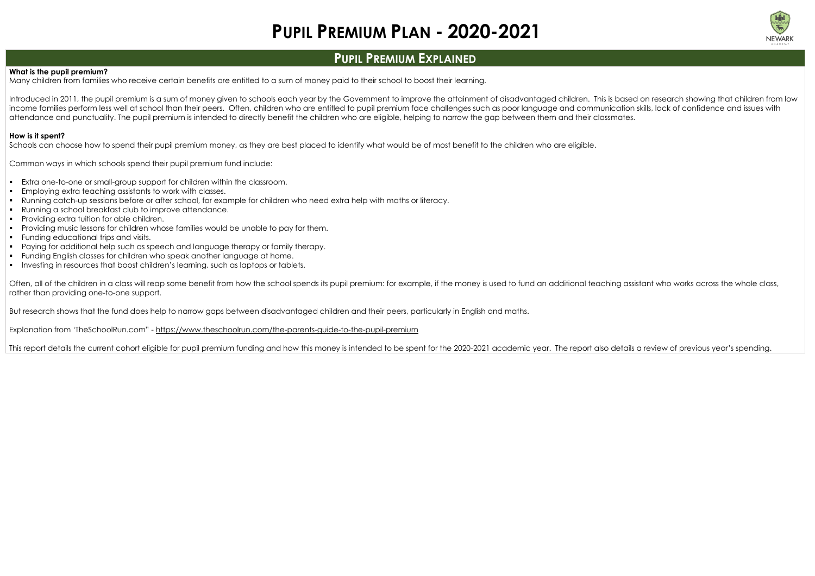### **PUPIL PREMIUM EXPLAINED**

#### **What is the pupil premium?**

Many children from families who receive certain benefits are entitled to a sum of money paid to their school to boost their learning.

Introduced in 2011, the pupil premium is a sum of money given to schools each year by the Government to improve the attainment of disadvantaged children. This is based on research showing that children from low income families perform less well at school than their peers. Often, children who are entitled to pupil premium face challenges such as poor language and communication skills, lack of confidence and issues with attendance and punctuality. The pupil premium is intended to directly benefit the children who are eligible, helping to narrow the gap between them and their classmates.

- Extra one-to-one or small-group support for children within the classroom.
- **Employing extra teaching assistants to work with classes.**
- Running catch-up sessions before or after school, for example for children who need extra help with maths or literacy.
- Running a school breakfast club to improve attendance.
- **Providing extra tuition for able children.**
- **Providing music lessons for children whose families would be unable to pay for them.**
- **Funding educational trips and visits.**
- Paying for additional help such as speech and language therapy or family therapy.
- Funding English classes for children who speak another language at home.
- Investing in resources that boost children's learning, such as laptops or tablets.

#### **How is it spent?**

Schools can choose how to spend their pupil premium money, as they are best placed to identify what would be of most benefit to the children who are eligible.

Common ways in which schools spend their pupil premium fund include:

Often, all of the children in a class will reap some benefit from how the school spends its pupil premium: for example, if the money is used to fund an additional teaching assistant who works across the whole class, rather than providing one-to-one support.

But research shows that the fund does help to narrow gaps between disadvantaged children and their peers, particularly in English and maths.

Explanation from 'TheSchoolRun.com" - <https://www.theschoolrun.com/the-parents-guide-to-the-pupil-premium>

This report details the current cohort eligible for pupil premium funding and how this money is intended to be spent for the 2020-2021 academic year. The report also details a review of previous year's spending.

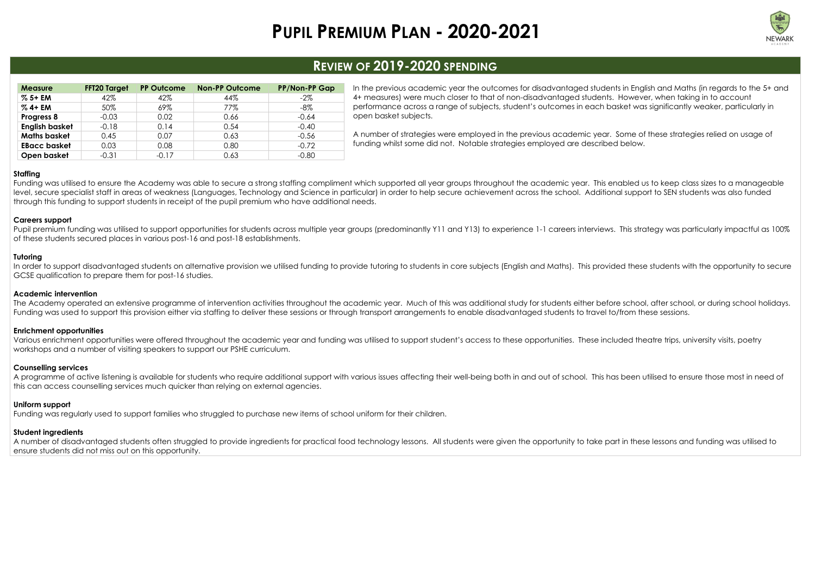### **REVIEW OF 2019-2020 SPENDING**

| <b>Measure</b>        | <b>FFT20 Target</b> | <b>PP Outcome</b> | <b>Non-PP Outcome</b> | <b>PP/Non-PP Gap</b> |
|-----------------------|---------------------|-------------------|-----------------------|----------------------|
| % 5+ EM               | 42%                 | 42%               | 44%                   | $-2\%$               |
| % 4+ EM               | 50%                 | 69%               | 77%                   | -8%                  |
| Progress 8            | $-0.03$             | 0.02              | 0.66                  | $-0.64$              |
| <b>English basket</b> | $-0.18$             | 0.14              | 0.54                  | $-0.40$              |
| <b>Maths basket</b>   | 0.45                | 0.07              | 0.63                  | $-0.56$              |
| <b>EBacc basket</b>   | 0.03                | 0.08              | 0.80                  | $-0.72$              |
| Open basket           | $-0.31$             | $-0.17$           | 0.63                  | $-0.80$              |

In the previous academic year the outcomes for disadvantaged students in English and Maths (in regards to the 5+ and 4+ measures) were much closer to that of non-disadvantaged students. However, when taking in to account performance across a range of subjects, student's outcomes in each basket was significantly weaker, particularly in open basket subjects.

A number of strategies were employed in the previous academic year. Some of these strategies relied on usage of funding whilst some did not. Notable strategies employed are described below.

Pupil premium funding was utilised to support opportunities for students across multiple year groups (predominantly Y11 and Y13) to experience 1-1 careers interviews. This strategy was particularly impactful as 100% of these students secured places in various post-16 and post-18 establishments.

#### **Staffing**

Funding was utilised to ensure the Academy was able to secure a strong staffing compliment which supported all year groups throughout the academic year. This enabled us to keep class sizes to a manageable level, secure specialist staff in areas of weakness (Languages, Technology and Science in particular) in order to help secure achievement across the school. Additional support to SEN students was also funded through this funding to support students in receipt of the pupil premium who have additional needs.

Various enrichment opportunities were offered throughout the academic year and funding was utilised to support student's access to these opportunities. These included theatre trips, university visits, poetry workshops and a number of visiting speakers to support our PSHE curriculum.

### **Careers support**

### **Tutoring**

In order to support disadvantaged students on alternative provision we utilised funding to provide tutoring to students in core subjects (English and Maths). This provided these students with the opportunity to secure GCSE qualification to prepare them for post-16 studies.

#### **Academic intervention**

The Academy operated an extensive programme of intervention activities throughout the academic year. Much of this was additional study for students either before school, after school, or during school holidays. Funding was used to support this provision either via staffing to deliver these sessions or through transport arrangements to enable disadvantaged students to travel to/from these sessions.

#### **Enrichment opportunities**

#### **Counselling services**

A programme of active listening is available for students who require additional support with various issues affecting their well-being both in and out of school. This has been utilised to ensure those most in need of this can access counselling services much quicker than relying on external agencies.

### **Uniform support**

Funding was regularly used to support families who struggled to purchase new items of school uniform for their children.

#### **Student ingredients**

A number of disadvantaged students often struggled to provide ingredients for practical food technology lessons. All students were given the opportunity to take part in these lessons and funding was utilised to ensure students did not miss out on this opportunity.

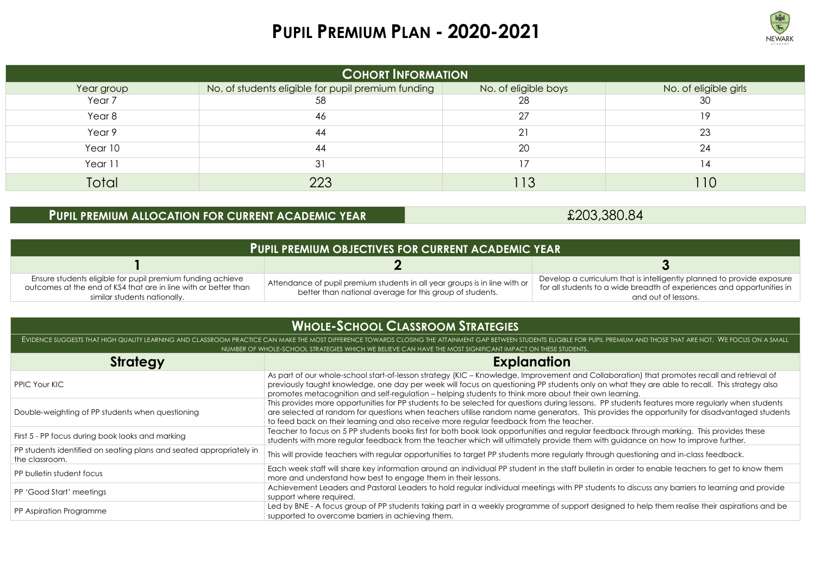| <b>COHORT INFORMATION</b> |                                                    |                      |                       |  |  |
|---------------------------|----------------------------------------------------|----------------------|-----------------------|--|--|
| Year group                | No. of students eligible for pupil premium funding | No. of eligible boys | No. of eligible girls |  |  |
| Year <sub>7</sub>         | -58                                                | 28                   | 30                    |  |  |
| Year <sub>8</sub>         | 46                                                 | 27                   | 19                    |  |  |
| Year 9                    | 44                                                 | 21                   | 23                    |  |  |
| Year 10                   | -44                                                | 20                   | 24                    |  |  |
| Year 11                   | 31                                                 | 17                   | 4                     |  |  |
| Total                     | つつつ                                                | 13                   | 10                    |  |  |

### **PUPIL PREMIUM ALLOCATION FOR CURRENT ACADEMIC YEAR Example 1** and the state  $\text{£}203,380.84$

that is intelligently planned to provide exposure ide breadth of experiences and opportunities in and out of lessons.

#### MIUM AND THOSE THAT ARE NOT. WE FOCUS ON A SMALL

oration) that promotes recall and retrieval of hat they are able to recall. This strategy also

tudents features more regularly when students ides the opportunity for disadvantaged students

ack through marking. This provides these juidance on how to improve further.

questioning and in-class feedback.

order to enable teachers to get to know them

to discuss any barriers to learning and provide

ed to help them realise their aspirations and be

| <b>PUPIL PREMIUM OBJECTIVES FOR CURRENT ACADEMIC YEAR</b>                                                                                                     |                                                                                                                                        |                                                                                               |  |  |
|---------------------------------------------------------------------------------------------------------------------------------------------------------------|----------------------------------------------------------------------------------------------------------------------------------------|-----------------------------------------------------------------------------------------------|--|--|
|                                                                                                                                                               |                                                                                                                                        |                                                                                               |  |  |
| Ensure students eligible for pupil premium funding achieve<br>outcomes at the end of KS4 that are in line with or better than<br>similar students nationally. | Attendance of pupil premium students in all year groups is in line with or<br>better than national average for this group of students. | Develop a curriculum that is intellige<br>for all students to a wide breadth of<br>and out of |  |  |

|                                                                                       | <b>WHOLE-SCHOOL CLASSROOM STRATEGIES</b>                                                                                                                                                                                                                                                                              |
|---------------------------------------------------------------------------------------|-----------------------------------------------------------------------------------------------------------------------------------------------------------------------------------------------------------------------------------------------------------------------------------------------------------------------|
|                                                                                       | EVIDENCE SUGGESTS THAT HIGH QUALITY LEARNING AND CLASSROOM PRACTICE CAN MAKE THE MOST DIFFERENCE TOWARDS CLOSING THE ATTAINMENT GAP BETWEEN STUDENTS ELIGIBLE FOR PUPIL PREMIUM A<br>NUMBER OF WHOLE-SCHOOL STRATEGIES WHICH WE BELIEVE CAN HAVE THE MOST SIGNIFICANT IMPACT ON THESE STUDENTS.                       |
| <b>Strategy</b>                                                                       | <b>Explanation</b>                                                                                                                                                                                                                                                                                                    |
| <b>PPIC Your KIC</b>                                                                  | As part of our whole-school start-of-lesson strategy (KIC - Knowledge, Improvement and Collaboration<br>previously taught knowledge, one day per week will focus on questioning PP students only on what the<br>promotes metacognition and self-regulation – helping students to think more about their own learning. |
| Double-weighting of PP students when questioning                                      | This provides more opportunities for PP students to be selected for questions during lessons. PP students<br>are selected at random for questions when teachers utilise random name generators. This provides the<br>to feed back on their learning and also receive more regular feedback from the teacher.          |
| First 5 - PP focus during book looks and marking                                      | Teacher to focus on 5 PP students books first for both book look opportunities and regular feedback thi<br>students with more regular feedback from the teacher which will ultimately provide them with guidand                                                                                                       |
| PP students identified on seating plans and seated appropriately in<br>the classroom. | This will provide teachers with regular opportunities to target PP students more regularly through question                                                                                                                                                                                                           |
| PP bulletin student focus                                                             | Each week staff will share key information around an individual PP student in the staff bulletin in order t<br>more and understand how best to engage them in their lessons.                                                                                                                                          |
| PP 'Good Start' meetings                                                              | Achievement Leaders and Pastoral Leaders to hold regular individual meetings with PP students to disc<br>support where required.                                                                                                                                                                                      |
| PP Aspiration Programme                                                               | Led by BNE - A focus group of PP students taking part in a weekly programme of support designed to h<br>supported to overcome barriers in achieving them.                                                                                                                                                             |
|                                                                                       |                                                                                                                                                                                                                                                                                                                       |

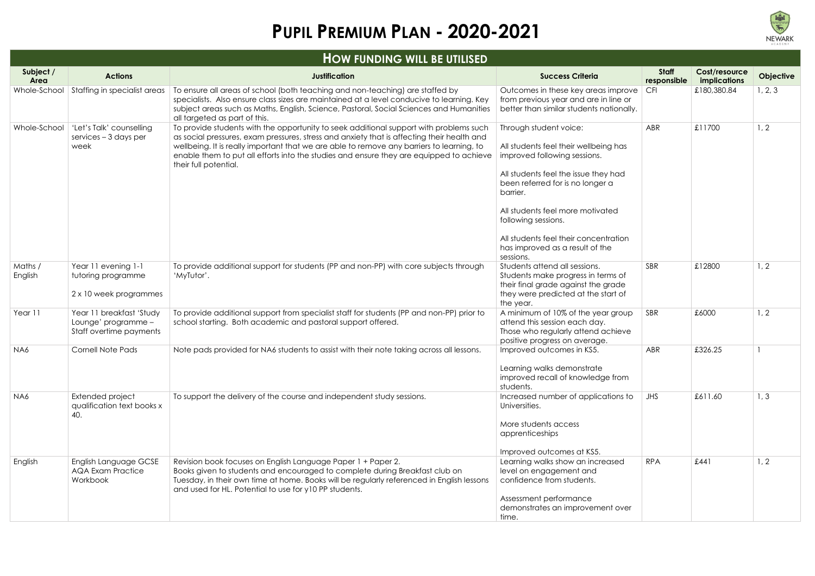|                    | <b>HOW FUNDING WILL BE UTILISED</b>                                        |                                                                                                                                                                                                                                                                                                                                                                                                       |                                                                                                                                                                                                                                                                                                                                             |                             |                               |           |  |  |
|--------------------|----------------------------------------------------------------------------|-------------------------------------------------------------------------------------------------------------------------------------------------------------------------------------------------------------------------------------------------------------------------------------------------------------------------------------------------------------------------------------------------------|---------------------------------------------------------------------------------------------------------------------------------------------------------------------------------------------------------------------------------------------------------------------------------------------------------------------------------------------|-----------------------------|-------------------------------|-----------|--|--|
| Subject /<br>Area  | <b>Actions</b>                                                             | <b>Justification</b>                                                                                                                                                                                                                                                                                                                                                                                  | <b>Success Criteria</b>                                                                                                                                                                                                                                                                                                                     | <b>Staff</b><br>responsible | Cost/resource<br>implications | Objective |  |  |
| Whole-School       | Staffing in specialist areas                                               | To ensure all areas of school (both teaching and non-teaching) are staffed by<br>specialists. Also ensure class sizes are maintained at a level conducive to learning. Key<br>subject areas such as Maths, English, Science, Pastoral, Social Sciences and Humanities<br>all targeted as part of this.                                                                                                | Outcomes in these key areas improve<br>from previous year and are in line or<br>better than similar students nationally.                                                                                                                                                                                                                    | <b>CFI</b>                  | £180,380.84                   | 1, 2, 3   |  |  |
| Whole-School       | 'Let's Talk' counselling<br>$s$ ervices $-3$ days per<br>week              | To provide students with the opportunity to seek additional support with problems such<br>as social pressures, exam pressures, stress and anxiety that is affecting their health and<br>wellbeing. It is really important that we are able to remove any barriers to learning, to<br>enable them to put all efforts into the studies and ensure they are equipped to achieve<br>their full potential. | Through student voice:<br>All students feel their wellbeing has<br>improved following sessions.<br>All students feel the issue they had<br>been referred for is no longer a<br>barrier.<br>All students feel more motivated<br>following sessions.<br>All students feel their concentration<br>has improved as a result of the<br>sessions. | ABR                         | £11700                        | 1, 2      |  |  |
| Maths /<br>English | Year 11 evening 1-1<br>tutoring programme<br>2 x 10 week programmes        | To provide additional support for students (PP and non-PP) with core subjects through<br>'MyTutor'.                                                                                                                                                                                                                                                                                                   | Students attend all sessions.<br>Students make progress in terms of<br>their final grade against the grade<br>they were predicted at the start of<br>the year.                                                                                                                                                                              | SBR                         | £12800                        | 1, 2      |  |  |
| Year 11            | Year 11 breakfast 'Study<br>Lounge' programme -<br>Staff overtime payments | To provide additional support from specialist staff for students (PP and non-PP) prior to<br>school starting. Both academic and pastoral support offered.                                                                                                                                                                                                                                             | A minimum of 10% of the year group<br>attend this session each day.<br>Those who regularly attend achieve<br>positive progress on average.                                                                                                                                                                                                  | SBR                         | £6000                         | 1, 2      |  |  |
| NA6                | <b>Cornell Note Pads</b>                                                   | Note pads provided for NA6 students to assist with their note taking across all lessons.                                                                                                                                                                                                                                                                                                              | Improved outcomes in KS5.<br>Learning walks demonstrate<br>improved recall of knowledge from<br>students.                                                                                                                                                                                                                                   | ABR                         | £326.25                       |           |  |  |
| NA6                | Extended project<br>qualification text books x<br>40.                      | To support the delivery of the course and independent study sessions.                                                                                                                                                                                                                                                                                                                                 | Increased number of applications to<br>Universities.<br>More students access<br>apprenticeships<br>Improved outcomes at KS5.                                                                                                                                                                                                                | <b>JHS</b>                  | £611.60                       | 1, 3      |  |  |
| English            | English Language GCSE<br><b>AQA Exam Practice</b><br>Workbook              | Revision book focuses on English Language Paper 1 + Paper 2.<br>Books given to students and encouraged to complete during Breakfast club on<br>Tuesday, in their own time at home. Books will be regularly referenced in English lessons<br>and used for HL. Potential to use for y10 PP students.                                                                                                    | Learning walks show an increased<br>level on engagement and<br>confidence from students.<br>Assessment performance<br>demonstrates an improvement over<br>time.                                                                                                                                                                             | <b>RPA</b>                  | £44]                          | 1, 2      |  |  |

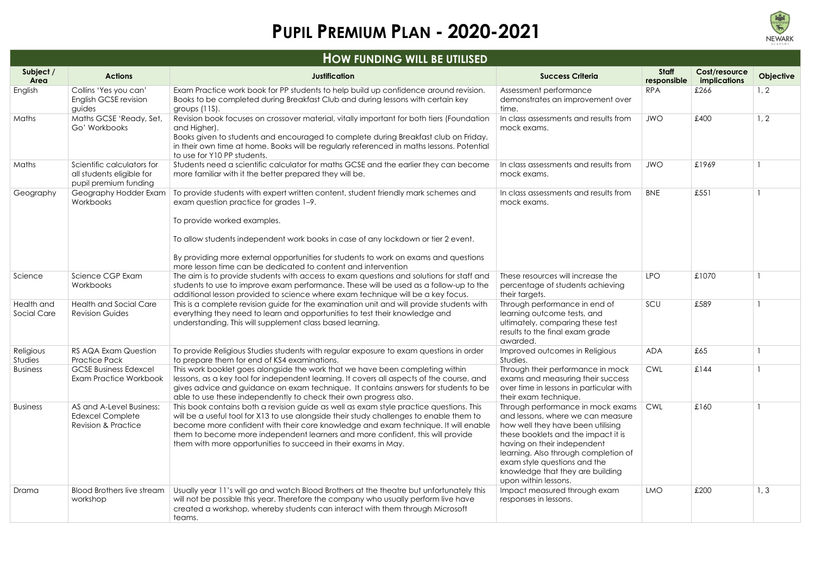| <b>HOW FUNDING WILL BE UTILISED</b> |                                                                                       |                                                                                                                                                                                                                                                                                                                                                                                                                              |                                                                                                                                                                                                                                                                                                                             |                             |                               |           |  |  |
|-------------------------------------|---------------------------------------------------------------------------------------|------------------------------------------------------------------------------------------------------------------------------------------------------------------------------------------------------------------------------------------------------------------------------------------------------------------------------------------------------------------------------------------------------------------------------|-----------------------------------------------------------------------------------------------------------------------------------------------------------------------------------------------------------------------------------------------------------------------------------------------------------------------------|-----------------------------|-------------------------------|-----------|--|--|
| Subject /<br>Area                   | <b>Actions</b>                                                                        | <b>Justification</b>                                                                                                                                                                                                                                                                                                                                                                                                         | <b>Success Criteria</b>                                                                                                                                                                                                                                                                                                     | <b>Staff</b><br>responsible | Cost/resource<br>implications | Objective |  |  |
| English                             | Collins 'Yes you can'<br>English GCSE revision<br>guides                              | Exam Practice work book for PP students to help build up confidence around revision.<br>Books to be completed during Breakfast Club and during lessons with certain key<br>groups $(11S)$ .                                                                                                                                                                                                                                  | Assessment performance<br>demonstrates an improvement over<br>time.                                                                                                                                                                                                                                                         | <b>RPA</b>                  | £266                          | 1, 2      |  |  |
| Maths                               | Maths GCSE 'Ready, Set<br>Go' Workbooks                                               | Revision book focuses on crossover material, vitally important for both tiers (Foundation<br>and Higher).<br>Books given to students and encouraged to complete during Breakfast club on Friday,<br>in their own time at home. Books will be regularly referenced in maths lessons. Potential<br>to use for Y10 PP students.                                                                                                 | In class assessments and results from<br>mock exams.                                                                                                                                                                                                                                                                        | <b>JWO</b>                  | £400                          | 1, 2      |  |  |
| Maths                               | Scientific calculators for<br>all students eligible for<br>pupil premium funding      | Students need a scientific calculator for maths GCSE and the earlier they can become<br>more familiar with it the better prepared they will be.                                                                                                                                                                                                                                                                              | In class assessments and results from<br>mock exams.                                                                                                                                                                                                                                                                        | <b>JWO</b>                  | £1969                         |           |  |  |
| Geography                           | Geography Hodder Exam<br>Workbooks                                                    | To provide students with expert written content, student friendly mark schemes and<br>exam question practice for grades 1-9.<br>To provide worked examples.<br>To allow students independent work books in case of any lockdown or tier 2 event.<br>By providing more external opportunities for students to work on exams and questions<br>more lesson time can be dedicated to content and intervention                    | In class assessments and results from<br>mock exams.                                                                                                                                                                                                                                                                        | <b>BNE</b>                  | £551                          |           |  |  |
| Science                             | Science CGP Exam<br>Workbooks                                                         | The aim is to provide students with access to exam questions and solutions for staff and<br>students to use to improve exam performance. These will be used as a follow-up to the<br>additional lesson provided to science where exam technique will be a key focus.                                                                                                                                                         | These resources will increase the<br>percentage of students achieving<br>their targets.                                                                                                                                                                                                                                     | <b>LPO</b>                  | £1070                         |           |  |  |
| Health and<br>Social Care           | <b>Health and Social Care</b><br><b>Revision Guides</b>                               | This is a complete revision guide for the examination unit and will provide students with<br>everything they need to learn and opportunities to test their knowledge and<br>understanding. This will supplement class based learning.                                                                                                                                                                                        | Through performance in end of<br>learning outcome tests, and<br>ultimately, comparing these test<br>results to the final exam grade<br>awarded.                                                                                                                                                                             | SCU                         | £589                          |           |  |  |
| Religious<br>Studies                | <b>RS AQA Exam Question</b><br><b>Practice Pack</b>                                   | To provide Religious Studies students with regular exposure to exam questions in order<br>to prepare them for end of KS4 examinations.                                                                                                                                                                                                                                                                                       | Improved outcomes in Religious<br>Studies.                                                                                                                                                                                                                                                                                  | <b>ADA</b>                  | £65                           |           |  |  |
| <b>Business</b>                     | <b>GCSE Business Edexcel</b><br>Exam Practice Workbook                                | This work booklet goes alongside the work that we have been completing within<br>lessons, as a key tool for independent learning. It covers all aspects of the course, and<br>gives advice and guidance on exam technique. It contains answers for students to be<br>able to use these independently to check their own progress also.                                                                                       | Through their performance in mock<br>exams and measuring their success<br>over time in lessons in particular with<br>their exam technique.                                                                                                                                                                                  | <b>CWL</b>                  | £144                          |           |  |  |
| <b>Business</b>                     | AS and A-Level Business:<br><b>Edexcel Complete</b><br><b>Revision &amp; Practice</b> | This book contains both a revision guide as well as exam style practice questions. This<br>will be a useful tool for X13 to use alongside their study challenges to enable them to<br>become more confident with their core knowledge and exam technique. It will enable<br>them to become more independent learners and more confident, this will provide<br>them with more opportunities to succeed in their exams in May. | Through performance in mock exams   CWL<br>and lessons, where we can measure<br>how well they have been utilising<br>these booklets and the impact it is<br>having on their independent<br>learning. Also through completion of<br>exam style questions and the<br>knowledge that they are building<br>upon within lessons. |                             | £160                          |           |  |  |
| Drama                               | <b>Blood Brothers live stream</b><br>workshop                                         | Usually year 11's will go and watch Blood Brothers at the theatre but unfortunately this<br>will not be possible this year. Therefore the company who usually perform live have<br>created a workshop, whereby students can interact with them through Microsoft<br>teams.                                                                                                                                                   | Impact measured through exam<br>responses in lessons.                                                                                                                                                                                                                                                                       | <b>LMO</b>                  | £200                          | 1, 3      |  |  |

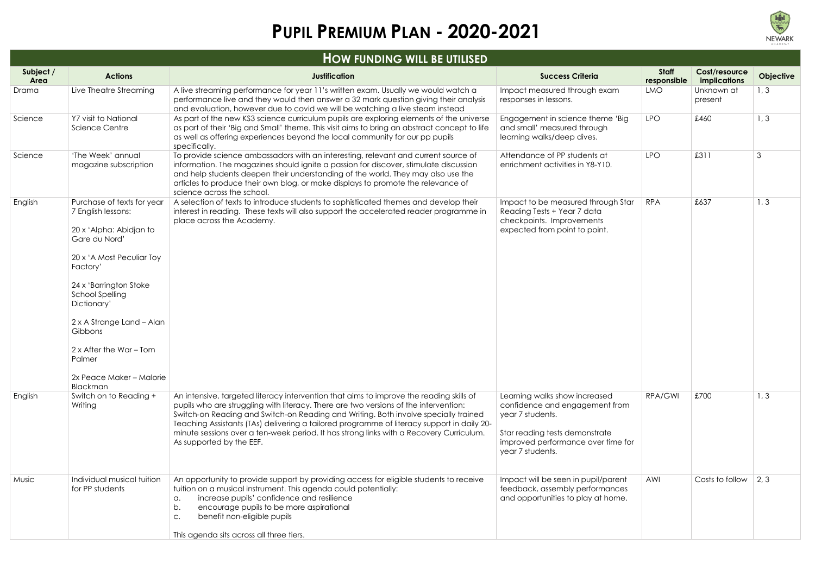| <b>HOW FUNDING WILL BE UTILISED</b> |                                                                                                                                                                                                                                                                                                                                      |                                                                                                                                                                                                                                                                                                                                                                                                                                                                                             |                                                                                                                                                                                 |                             |                               |           |  |  |
|-------------------------------------|--------------------------------------------------------------------------------------------------------------------------------------------------------------------------------------------------------------------------------------------------------------------------------------------------------------------------------------|---------------------------------------------------------------------------------------------------------------------------------------------------------------------------------------------------------------------------------------------------------------------------------------------------------------------------------------------------------------------------------------------------------------------------------------------------------------------------------------------|---------------------------------------------------------------------------------------------------------------------------------------------------------------------------------|-----------------------------|-------------------------------|-----------|--|--|
| Subject /<br>Area                   | <b>Actions</b>                                                                                                                                                                                                                                                                                                                       | <b>Justification</b>                                                                                                                                                                                                                                                                                                                                                                                                                                                                        | <b>Success Criteria</b>                                                                                                                                                         | <b>Staff</b><br>responsible | Cost/resource<br>implications | Objective |  |  |
| Drama                               | Live Theatre Streaming                                                                                                                                                                                                                                                                                                               | A live streaming performance for year 11's written exam. Usually we would watch a<br>performance live and they would then answer a 32 mark question giving their analysis<br>and evaluation, however due to covid we will be watching a live steam instead                                                                                                                                                                                                                                  | Impact measured through exam<br>responses in lessons.                                                                                                                           | <b>LMO</b>                  | Unknown at<br>present         | 1, 3      |  |  |
| Science                             | Y7 visit to National<br><b>Science Centre</b>                                                                                                                                                                                                                                                                                        | As part of the new KS3 science curriculum pupils are exploring elements of the universe<br>as part of their 'Big and Small' theme. This visit aims to bring an abstract concept to life<br>as well as offering experiences beyond the local community for our pp pupils<br>specifically.                                                                                                                                                                                                    | Engagement in science theme 'Big<br>and small' measured through<br>learning walks/deep dives.                                                                                   | <b>LPO</b>                  | £460                          | 1, 3      |  |  |
| Science                             | 'The Week' annual<br>magazine subscription                                                                                                                                                                                                                                                                                           | To provide science ambassadors with an interesting, relevant and current source of<br>information. The magazines should ignite a passion for discover, stimulate discussion<br>and help students deepen their understanding of the world. They may also use the<br>articles to produce their own blog, or make displays to promote the relevance of<br>science across the school.                                                                                                           | Attendance of PP students at<br>enrichment activities in Y8-Y10.                                                                                                                | <b>LPO</b>                  | £311                          | 3         |  |  |
| English                             | Purchase of texts for year<br>7 English lessons:<br>20 x 'Alpha: Abidjan to<br>Gare du Nord'<br>20 x 'A Most Peculiar Toy<br>Factory'<br>24 x 'Barrington Stoke<br><b>School Spelling</b><br>Dictionary'<br>2 x A Strange Land - Alan<br>Gibbons<br>$2 \times$ After the War – Tom<br>Palmer<br>2x Peace Maker - Malorie<br>Blackman | A selection of texts to introduce students to sophisticated themes and develop their<br>interest in reading. These texts will also support the accelerated reader programme in<br>place across the Academy.                                                                                                                                                                                                                                                                                 | Impact to be measured through Star<br>Reading Tests + Year 7 data<br>checkpoints. Improvements<br>expected from point to point.                                                 | <b>RPA</b>                  | £637                          | 1, 3      |  |  |
| English                             | Switch on to Reading +<br>Writing                                                                                                                                                                                                                                                                                                    | An intensive, targeted literacy intervention that aims to improve the reading skills of<br>pupils who are struggling with literacy. There are two versions of the intervention:<br>Switch-on Reading and Switch-on Reading and Writing. Both involve specially trained<br>Teaching Assistants (TAs) delivering a tailored programme of literacy support in daily 20-<br>minute sessions over a ten-week period. It has strong links with a Recovery Curriculum.<br>As supported by the EEF. | Learning walks show increased<br>confidence and engagement from<br>year 7 students.<br>Star reading tests demonstrate<br>improved performance over time for<br>year 7 students. | <b>RPA/GWI</b>              | £700                          | 1, 3      |  |  |
| Music                               | Individual musical tuition<br>for PP students                                                                                                                                                                                                                                                                                        | An opportunity to provide support by providing access for eligible students to receive<br>tuition on a musical instrument. This agenda could potentially:<br>increase pupils' confidence and resilience<br>a.<br>b.<br>encourage pupils to be more aspirational<br>benefit non-eligible pupils<br>$\mathsf{C}.$<br>This agenda sits across all three tiers.                                                                                                                                 | Impact will be seen in pupil/parent<br>feedback, assembly performances<br>and opportunities to play at home.                                                                    | AWI                         | Costs to follow               | 2, 3      |  |  |

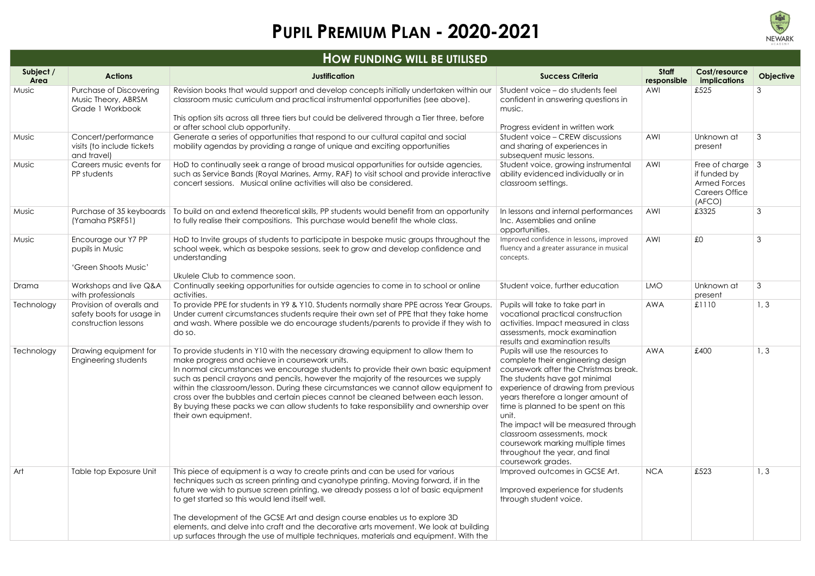| <b>HOW FUNDING WILL BE UTILISED</b> |                                                                                |                                                                                                                                                                                                                                                                                                                                                                                                                                                                                                                                                                                                              |                                                                                                                                                                                                                                                                                                                                                                                                                                                 |                             |                                                                                                            |           |  |
|-------------------------------------|--------------------------------------------------------------------------------|--------------------------------------------------------------------------------------------------------------------------------------------------------------------------------------------------------------------------------------------------------------------------------------------------------------------------------------------------------------------------------------------------------------------------------------------------------------------------------------------------------------------------------------------------------------------------------------------------------------|-------------------------------------------------------------------------------------------------------------------------------------------------------------------------------------------------------------------------------------------------------------------------------------------------------------------------------------------------------------------------------------------------------------------------------------------------|-----------------------------|------------------------------------------------------------------------------------------------------------|-----------|--|
| Subject /<br>Area                   | <b>Actions</b>                                                                 | <b>Justification</b>                                                                                                                                                                                                                                                                                                                                                                                                                                                                                                                                                                                         | <b>Success Criteria</b>                                                                                                                                                                                                                                                                                                                                                                                                                         | <b>Staff</b><br>responsible | Cost/resource<br>implications                                                                              | Objective |  |
| Music                               | Purchase of Discovering<br>Music Theory, ABRSM<br>Grade 1 Workbook             | Revision books that would support and develop concepts initially undertaken within our<br>classroom music curriculum and practical instrumental opportunities (see above).<br>This option sits across all three tiers but could be delivered through a Tier three, before<br>or after school club opportunity.                                                                                                                                                                                                                                                                                               | Student voice – do students feel<br>confident in answering questions in<br>music.<br>Progress evident in written work                                                                                                                                                                                                                                                                                                                           | AWI                         | £525                                                                                                       | 3         |  |
| Music                               | Concert/performance<br>visits (to include tickets<br>and travel)               | Generate a series of opportunities that respond to our cultural capital and social<br>mobility agendas by providing a range of unique and exciting opportunities                                                                                                                                                                                                                                                                                                                                                                                                                                             | Student voice - CREW discussions<br>and sharing of experiences in<br>subsequent music lessons.                                                                                                                                                                                                                                                                                                                                                  | AWI                         | Unknown at<br>present                                                                                      | 3         |  |
| Music                               | Careers music events for<br>PP students                                        | HoD to continually seek a range of broad musical opportunities for outside agencies,<br>such as Service Bands (Royal Marines, Army, RAF) to visit school and provide interactive<br>concert sessions. Musical online activities will also be considered.                                                                                                                                                                                                                                                                                                                                                     | Student voice, growing instrumental<br>ability evidenced individually or in<br>classroom settings.                                                                                                                                                                                                                                                                                                                                              | AWI                         | Free of charge $\vert 3 \rangle$<br>if funded by<br><b>Armed Forces</b><br><b>Careers Office</b><br>(AFCO) |           |  |
| Music                               | Purchase of 35 keyboards<br>(Yamaha PSRF51)                                    | To build on and extend theoretical skills, PP students would benefit from an opportunity<br>to fully realise their compositions. This purchase would benefit the whole class.                                                                                                                                                                                                                                                                                                                                                                                                                                | In lessons and internal performances<br>Inc. Assemblies and online<br>opportunities.                                                                                                                                                                                                                                                                                                                                                            | AWI                         | £3325                                                                                                      | 3         |  |
| Music                               | Encourage our Y7 PP<br>pupils in Music<br>'Green Shoots Music'                 | HoD to Invite groups of students to participate in bespoke music groups throughout the<br>school week, which as bespoke sessions, seek to grow and develop confidence and<br>understanding<br>Ukulele Club to commence soon.                                                                                                                                                                                                                                                                                                                                                                                 | Improved confidence in lessons, improved<br>fluency and a greater assurance in musical<br>concepts.                                                                                                                                                                                                                                                                                                                                             | AWI                         | £0                                                                                                         | 3         |  |
| Drama                               | Workshops and live Q&A<br>with professionals                                   | Continually seeking opportunities for outside agencies to come in to school or online<br>activities.                                                                                                                                                                                                                                                                                                                                                                                                                                                                                                         | Student voice, further education                                                                                                                                                                                                                                                                                                                                                                                                                | <b>LMO</b>                  | Unknown at<br>present                                                                                      | 3         |  |
| Technology                          | Provision of overalls and<br>safety boots for usage in<br>construction lessons | To provide PPE for students in Y9 & Y10. Students normally share PPE across Year Groups.<br>Under current circumstances students require their own set of PPE that they take home<br>and wash. Where possible we do encourage students/parents to provide if they wish to<br>do so.                                                                                                                                                                                                                                                                                                                          | Pupils will take to take part in<br>vocational practical construction<br>activities. Impact measured in class<br>assessments, mock examination<br>results and examination results                                                                                                                                                                                                                                                               | <b>AWA</b>                  | £1110                                                                                                      | 1, 3      |  |
| Technology                          | Drawing equipment for<br>Engineering students                                  | To provide students in Y10 with the necessary drawing equipment to allow them to<br>make progress and achieve in coursework units.<br>In normal circumstances we encourage students to provide their own basic equipment<br>such as pencil crayons and pencils, however the majority of the resources we supply<br>within the classroom/lesson. During these circumstances we cannot allow equipment to<br>cross over the bubbles and certain pieces cannot be cleaned between each lesson.<br>By buying these packs we can allow students to take responsibility and ownership over<br>their own equipment. | Pupils will use the resources to<br>complete their engineering design<br>coursework after the Christmas break.<br>The students have got minimal<br>experience of drawing from previous<br>years therefore a longer amount of<br>time is planned to be spent on this<br>unit.<br>The impact will be measured through<br>classroom assessments, mock<br>coursework marking multiple times<br>throughout the year, and final<br>coursework grades. | <b>AWA</b>                  | £400                                                                                                       | 1, 3      |  |
| Art                                 | Table top Exposure Unit                                                        | This piece of equipment is a way to create prints and can be used for various<br>techniques such as screen printing and cyanotype printing. Moving forward, if in the<br>future we wish to pursue screen printing, we already possess a lot of basic equipment<br>to get started so this would lend itself well.<br>The development of the GCSE Art and design course enables us to explore 3D<br>elements, and delve into craft and the decorative arts movement. We look at building<br>up surfaces through the use of multiple techniques, materials and equipment. With the                              | Improved outcomes in GCSE Art.<br>Improved experience for students<br>through student voice.                                                                                                                                                                                                                                                                                                                                                    | <b>NCA</b>                  | £523                                                                                                       | 1, 3      |  |